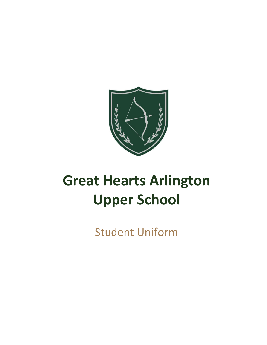

# **Great Hearts Arlington Upper School**

**Student Uniform**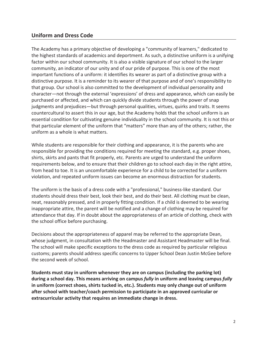## **Uniform and Dress Code**

The Academy has a primary objective of developing a "community of learners," dedicated to the highest standards of academics and deportment. As such, a distinctive uniform is a unifying factor within our school community. It is also a visible signature of our school to the larger community, an indicator of our unity and of our pride of purpose. This is one of the most important functions of a uniform: it identifies its wearer as part of a distinctive group with a distinctive purpose. It is a reminder to its wearer of that purpose and of one's responsibility to that group. Our school is also committed to the development of individual personality and character—not through the external 'expressions' of dress and appearance, which can easily be purchased or affected, and which can quickly divide students through the power of snap judgments and prejudices—but through personal qualities, virtues, quirks and traits. It seems countercultural to assert this in our age, but the Academy holds that the school uniform is an essential condition for cultivating genuine individuality in the school community. It is not this or that particular element of the uniform that "matters" more than any of the others; rather, the uniform as a whole is what matters.

While students are responsible for their clothing and appearance, it is the parents who are responsible for providing the conditions required for meeting the standard, e.g. proper shoes, shirts, skirts and pants that fit properly, etc. Parents are urged to understand the uniform requirements below, and to ensure that their children go to school each day in the right attire, from head to toe. It is an uncomfortable experience for a child to be corrected for a uniform violation, and repeated uniform issues can become an enormous distraction for students.

The uniform is the basis of a dress code with a "professional," business-like standard. Our students should dress their best, look their best, and do their best. All clothing must be clean, neat, reasonably pressed, and in properly fitting condition. If a child is deemed to be wearing inappropriate attire, the parent will be notified and a change of clothing may be required for attendance that day. If in doubt about the appropriateness of an article of clothing, check with the school office before purchasing.

Decisions about the appropriateness of apparel may be referred to the appropriate Dean, whose judgment, in consultation with the Headmaster and Assistant Headmaster will be final. The school will make specific exceptions to the dress code as required by particular religious customs; parents should address specific concerns to Upper School Dean Justin McGee before the second week of school.

Students must stay in uniform whenever they are on campus (including the parking lot) during a school day. This means arriving on campus fully in uniform and leaving campus fully in uniform (correct shoes, shirts tucked in, etc.). Students may only change out of uniform after school with teacher/coach permission to participate in an approved curricular or extracurricular activity that requires an immediate change in dress.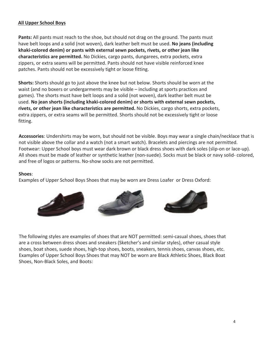## **All Upper School Boys**

Pants: All pants must reach to the shoe, but should not drag on the ground. The pants must have belt loops and a solid (not woven), dark leather belt must be used. No jeans (including khaki-colored denim) or pants with external sewn pockets, rivets, or other jean like characteristics are permitted. No Dickies, cargo pants, dungarees, extra pockets, extra zippers, or extra seams will be permitted. Pants should not have visible reinforced knee patches. Pants should not be excessively tight or loose fitting.

**Shorts:** Shorts should go to just above the knee but not below. Shorts should be worn at the waist (and no boxers or undergarments may be visible – including at sports practices and games). The shorts must have belt loops and a solid (not woven), dark leather belt must be used. No jean shorts (including khaki-colored denim) or shorts with external sewn pockets, rivets, or other jean like characteristics are permitted. No Dickies, cargo shorts, extra pockets, extra zippers, or extra seams will be permitted. Shorts should not be excessively tight or loose fitting.

Accessories: Undershirts may be worn, but should not be visible. Boys may wear a single chain/necklace that is not visible above the collar and a watch (not a smart watch). Bracelets and piercings are not permitted. Footwear: Upper School boys must wear dark brown or black dress shoes with dark soles (slip-on or lace-up). All shoes must be made of leather or synthetic leather (non-suede). Socks must be black or navy solid-colored, and free of logos or patterns. No-show socks are not permitted.

### Shoes:

Examples of Upper School Boys Shoes that may be worn are Dress Loafer or Dress Oxford:



The following styles are examples of shoes that are **NOT** permitted: semi-casual shoes, shoes that are a cross between dress shoes and sneakers (Sketcher's and similar styles), other casual style shoes, boat shoes, suede shoes, high-top shoes, boots, sneakers, tennis shoes, canvas shoes, etc. Examples of Upper School Boys Shoes that may **NOT** be worn are Black Athletic Shoes, Black Boat Shoes, Non-Black Soles, and Boots.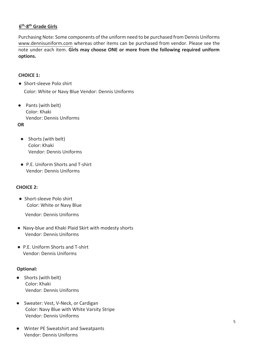## 6<sup>th</sup>-8<sup>th</sup> Grade Girls

Purchasing Note: Some components of the uniform need to be purchased from Dennis Uniforms www.dennisuniform.com whereas other items can be purchased from vendor. Please see the note under each item. Girls may choose ONE or more from the following required uniform options.

### **CHOICE 1:**

• Short-sleeve Polo shirt

Color: White or Navy Blue Vendor: Dennis Uniforms/Flynn O'Hara

 $\bullet$ Pants (with belt)

> Color: Khaki Vendor: Any

## **OR**

Shorts (with belt)  $\bullet$ 

> Color: Khaki Vendor: Any

- P.E. Uniform Shorts and T-shirt
	- Winter PE Uniform Sweatshirt and Sweatpants

Vendor: Dennis Uniforms/Flynn O'Hara

## **CHOICE 2:**

• Short-sleeve Polo shirt

Color: White or Navy Blue

Vendor: Dennis Uniforms/Flynn O'Hara

- Navy-blue and Khaki Plaid Skirt with modesty shorts Vendor: Dennis Uniforms/Flynn O'Hara
- P.E. Uniform Shorts and T-shirt
	- Optional Winter PE Uniform Sweatshirt and Sweatpants

Vendor: Dennis Uniforms/Flynn O'Hara

#### **Optional:**

- Shorts (with belt) Color: Khaki Vendor:Any
- Sweater: Vest, V-Neck, or Cardigan Color: Navy Blue with White Varsity Stripe Vendor: Dennis Uniforms/Flynn O'Hara

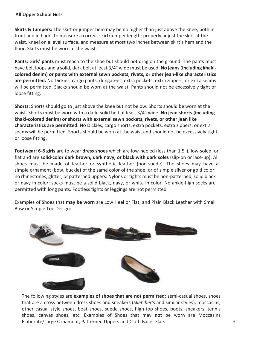### **All Upper School Girls**

**Skirts & Jumpers:** The skirt or jumper hem may be no higher than just above the knee, both in front and in back. To measure a correct skirt/jumper length: properly adjust the skirt at the waist, kneel on a level surface, and measure at most two inches between skirt's hem and the floor. Skirts must be worn at the waist.

Pants: Girls' pants must reach to the shoe but should not drag on the ground. The pants must have belt loops and a solid, dark belt at least 3/4" wide must be used. No jeans (including khakicolored denim) or pants with external sewn pockets, rivets, or other jean-like characteristics are permitted. No Dickies, cargo pants, dungarees, extra pockets, extra zippers, or extra seams will be permitted. Slacks should be worn at the waist. Pants should not be excessively tight or loose fitting.

Shorts: Shorts should go to just above the knee but not below. Shorts should be worn at the waist. Shorts must be worn with a dark, solid belt at least 3/4" wide. No jean shorts (including khaki-colored denim) or shorts with external sewn pockets, rivets, or other jean like characteristics are permitted. No Dickies, cargo shorts, extra pockets, extra zippers, or extra seams will be permitted. Shorts should be worn at the waist and should not be excessively tight or loose fitting.

Footwear: 6-8 girls are to wear dress shoes which are low-heeled (less than 1.5"), low-soled, or flat and are solid-color dark brown, dark navy, or black with dark soles (slip-on or lace-up). All shoes must be made of leather or synthetic leather (non-suede). The shoes may have a simple ornament (bow, buckle) of the same color of the shoe, or of simple silver or gold color; no rhinestones, glitter, or patterned uppers. Nylons or tights must be non-patterned, solid black or navy in color; socks must be a solid black, navy, or white in color. No ankle-high socks are permitted with long pants. Footless tights or leggings are not permitted.

Examples of Shoes that may be worn are Low Heel or Flat, and Plain Black Leather with Small Bow or Simple Toe Design:



The following styles are examples of shoes that are not permitted: semi-casual shoes, shoes that are a cross between dress shoes and sneakers (Sketcher's and similar styles), moccasins, other casual style shoes, boat shoes, suede shoes, high-top shoes, boots, sneakers, tennis shoes, canvas shoes, etc. Examples of Shoes that may not be worn are Moccasins, Elaborate/Large Ornament, Patterned Uppers and Cloth Ballet Flats.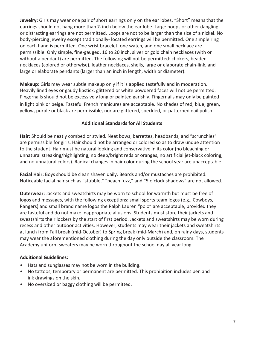Jewelry: Girls may wear one pair of short earrings only on the ear lobes. "Short" means that the earrings should not hang more than  $\frac{1}{2}$  inch below the ear lobe. Large hoops or other dangling or distracting earrings are not permitted. Loops are not to be larger than the size of a nickel. No body-piercing jewelry except traditionally-located earrings will be permitted. One simple ring on each hand is permitted. One wrist bracelet, one watch, and one small necklace are permissible. Only simple, fine-gauged, 16 to 20 inch, silver or gold chain necklaces (with or without a pendant) are permitted. The following will not be permitted: chokers, beaded necklaces (colored or otherwise), leather necklaces, shells, large or elaborate chain-link, and large or elaborate pendants (larger than an inch in length, width or diameter).

Makeup: Girls may wear subtle makeup only if it is applied tastefully and in moderation. Heavily lined eyes or gaudy lipstick, glittered or white powdered faces will not be permitted. Fingernails should not be excessively long or painted garishly. Fingernails may only be painted in light pink or beige. Tasteful French manicures are acceptable. No shades of red, blue, green, yellow, purple or black are permissible, nor are glittered, speckled, or patterned nail polish.

#### **Additional Standards for All Students**

Hair: Should be neatly combed or styled. Neat bows, barrettes, headbands, and "scrunchies" are permissible for girls. Hair should not be arranged or colored so as to draw undue attention to the student. Hair must be natural looking and conservative in its color (no bleaching or unnatural streaking/highlighting, no deep/bright reds or oranges, no artificial jet-black coloring, and no unnatural colors). Radical changes in hair color during the school year are unacceptable.

Facial Hair: Boys should be clean shaven daily. Beards and/or mustaches are prohibited. Noticeable facial hair such as "stubble," "peach fuzz," and "5 o'clock shadows" are not allowed.

Outerwear: Jackets and sweatshirts may be worn to school for warmth but must be free of logos and messages, with the following exceptions: small sports team logos (e.g., Cowboys, Rangers) and small brand name logos the Ralph Lauren "polo" are acceptable, provided they are tasteful and do not make inappropriate allusions. Students must store their jackets and sweatshirts their lockers by the start of first period. Jackets and sweatshirts may be worn during recess and other outdoor activities. However, students may wear their jackets and sweatshirts at lunch from Fall break (mid-October) to Spring break (mid-March) and, on rainy days, students may wear the aforementioned clothing during the day only outside the classroom. The Academy uniform sweaters may be worn throughout the school day all year long.

#### **Additional Guidelines:**

- $\bullet$ Hats and sunglasses may not be worn in the building.
- No tattoos, temporary or permanent are permitted. This prohibition includes pen and ink drawings on the skin.
- No oversized or baggy clothing will be permitted.  $\bullet$